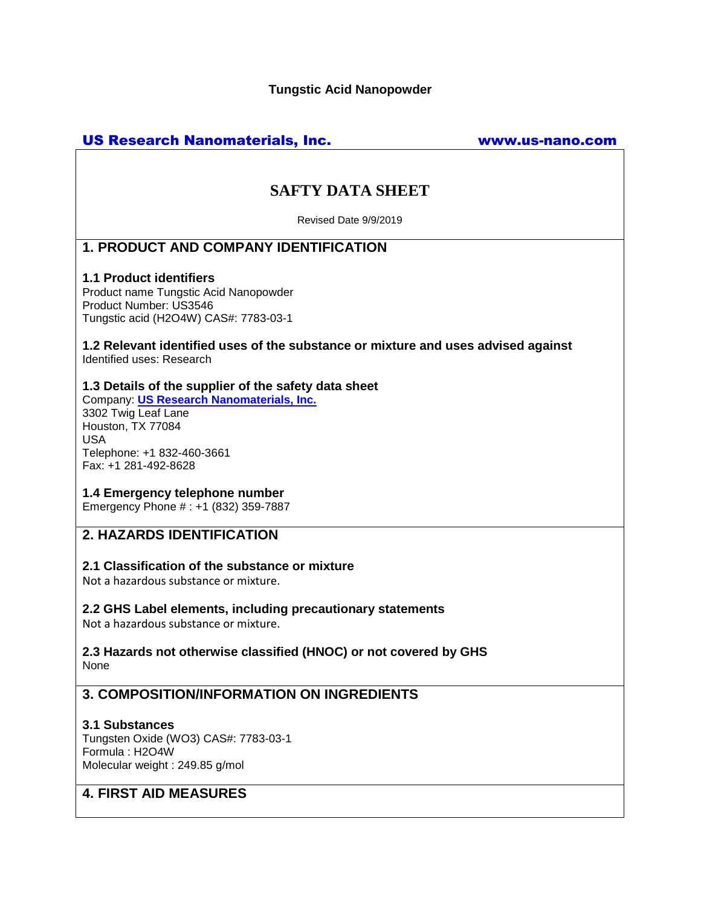# US Research Nanomaterials, Inc. www.us-nano.com

# **SAFTY DATA SHEET**

Revised Date 9/9/2019

# **1. PRODUCT AND COMPANY IDENTIFICATION**

#### **1.1 Product identifiers**

Product name Tungstic Acid Nanopowder Product Number: US3546 Tungstic acid (H2O4W) CAS#: 7783-03-1

**1.2 Relevant identified uses of the substance or mixture and uses advised against** Identified uses: Research

#### **1.3 Details of the supplier of the safety data sheet**

Company: **[US Research Nanomaterials, Inc.](http://www.us-nano.com/)** 3302 Twig Leaf Lane Houston, TX 77084 USA Telephone: +1 832-460-3661 Fax: +1 281-492-8628

#### **1.4 Emergency telephone number**

Emergency Phone # : +1 (832) 359-7887

# **2. HAZARDS IDENTIFICATION**

### **2.1 Classification of the substance or mixture**

Not a hazardous substance or mixture.

### **2.2 GHS Label elements, including precautionary statements**

Not a hazardous substance or mixture.

#### **2.3 Hazards not otherwise classified (HNOC) or not covered by GHS** None

# **3. COMPOSITION/INFORMATION ON INGREDIENTS**

### **3.1 Substances**

Tungsten Oxide (WO3) CAS#: 7783-03-1 Formula : H2O4W Molecular weight : 249.85 g/mol

# **4. FIRST AID MEASURES**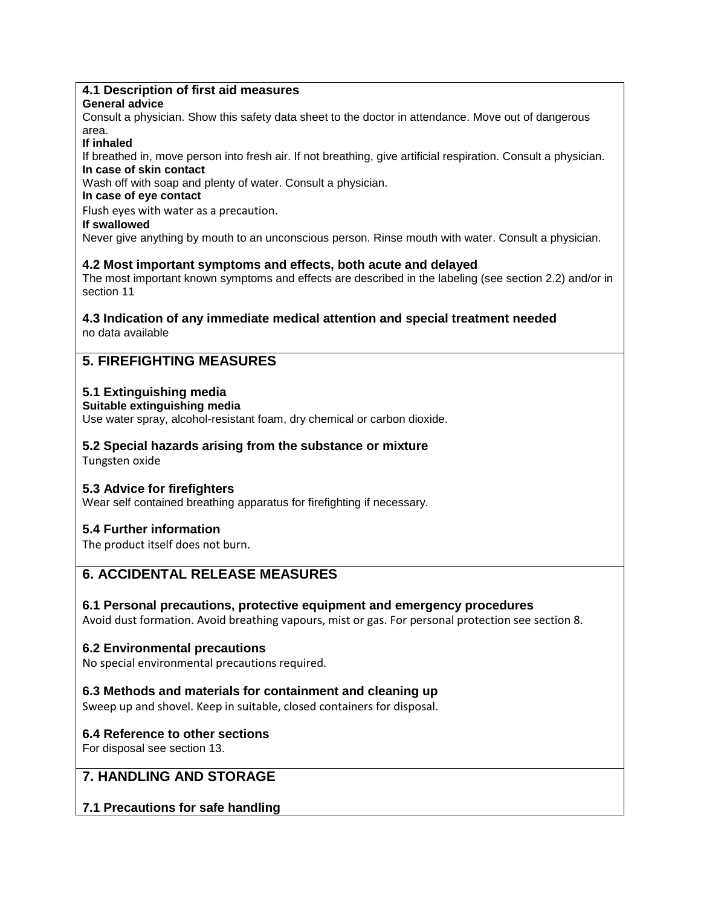# **4.1 Description of first aid measures**

### **General advice**

Consult a physician. Show this safety data sheet to the doctor in attendance. Move out of dangerous area.

#### **If inhaled**

If breathed in, move person into fresh air. If not breathing, give artificial respiration. Consult a physician. **In case of skin contact**

Wash off with soap and plenty of water. Consult a physician.

# **In case of eye contact**

Flush eyes with water as a precaution.

#### **If swallowed**

Never give anything by mouth to an unconscious person. Rinse mouth with water. Consult a physician.

### **4.2 Most important symptoms and effects, both acute and delayed**

The most important known symptoms and effects are described in the labeling (see section 2.2) and/or in section 11

#### **4.3 Indication of any immediate medical attention and special treatment needed** no data available

# **5. FIREFIGHTING MEASURES**

# **5.1 Extinguishing media**

**Suitable extinguishing media**

Use water spray, alcohol-resistant foam, dry chemical or carbon dioxide.

# **5.2 Special hazards arising from the substance or mixture**

Tungsten oxide

# **5.3 Advice for firefighters**

Wear self contained breathing apparatus for firefighting if necessary.

# **5.4 Further information**

The product itself does not burn.

# **6. ACCIDENTAL RELEASE MEASURES**

### **6.1 Personal precautions, protective equipment and emergency procedures**

Avoid dust formation. Avoid breathing vapours, mist or gas. For personal protection see section 8.

# **6.2 Environmental precautions**

No special environmental precautions required.

### **6.3 Methods and materials for containment and cleaning up**

Sweep up and shovel. Keep in suitable, closed containers for disposal.

# **6.4 Reference to other sections**

For disposal see section 13.

# **7. HANDLING AND STORAGE**

# **7.1 Precautions for safe handling**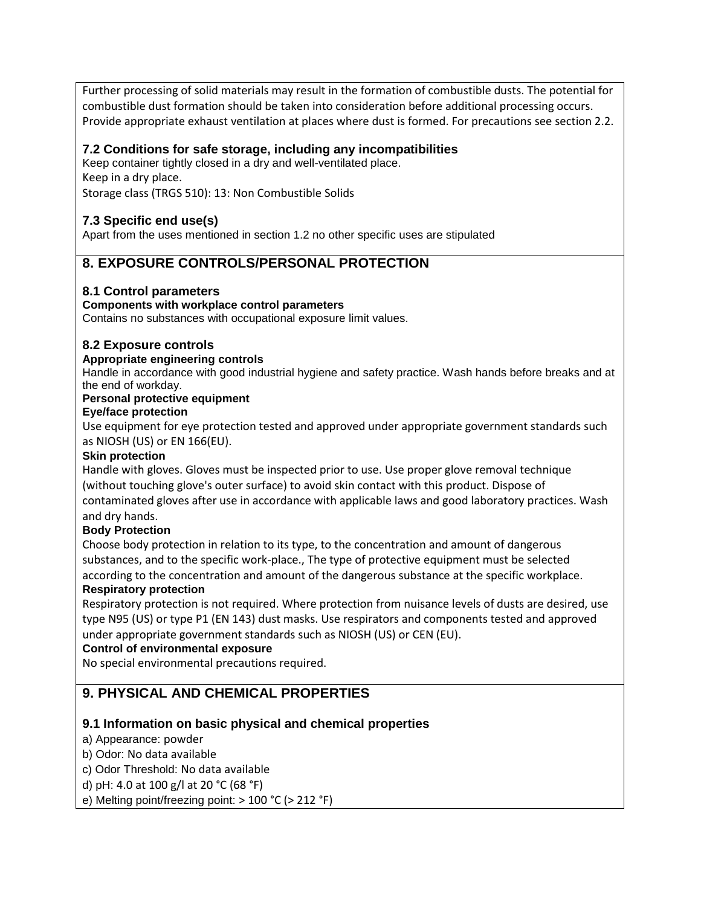Further processing of solid materials may result in the formation of combustible dusts. The potential for combustible dust formation should be taken into consideration before additional processing occurs. Provide appropriate exhaust ventilation at places where dust is formed. For precautions see section 2.2.

### **7.2 Conditions for safe storage, including any incompatibilities**

Keep container tightly closed in a dry and well-ventilated place. Keep in a dry place. Storage class (TRGS 510): 13: Non Combustible Solids

# **7.3 Specific end use(s)**

Apart from the uses mentioned in section 1.2 no other specific uses are stipulated

# **8. EXPOSURE CONTROLS/PERSONAL PROTECTION**

### **8.1 Control parameters**

#### **Components with workplace control parameters**

Contains no substances with occupational exposure limit values.

#### **8.2 Exposure controls**

#### **Appropriate engineering controls**

Handle in accordance with good industrial hygiene and safety practice. Wash hands before breaks and at the end of workday.

#### **Personal protective equipment**

#### **Eye/face protection**

Use equipment for eye protection tested and approved under appropriate government standards such as NIOSH (US) or EN 166(EU).

#### **Skin protection**

Handle with gloves. Gloves must be inspected prior to use. Use proper glove removal technique (without touching glove's outer surface) to avoid skin contact with this product. Dispose of contaminated gloves after use in accordance with applicable laws and good laboratory practices. Wash and dry hands.

#### **Body Protection**

Choose body protection in relation to its type, to the concentration and amount of dangerous substances, and to the specific work-place., The type of protective equipment must be selected according to the concentration and amount of the dangerous substance at the specific workplace.

#### **Respiratory protection**

Respiratory protection is not required. Where protection from nuisance levels of dusts are desired, use type N95 (US) or type P1 (EN 143) dust masks. Use respirators and components tested and approved under appropriate government standards such as NIOSH (US) or CEN (EU).

#### **Control of environmental exposure**

No special environmental precautions required.

# **9. PHYSICAL AND CHEMICAL PROPERTIES**

### **9.1 Information on basic physical and chemical properties**

- a) Appearance: powder
- b) Odor: No data available
- c) Odor Threshold: No data available
- d) pH: 4.0 at 100 g/l at 20 °C (68 °F)
- e) Melting point/freezing point: > 100 °C (> 212 °F)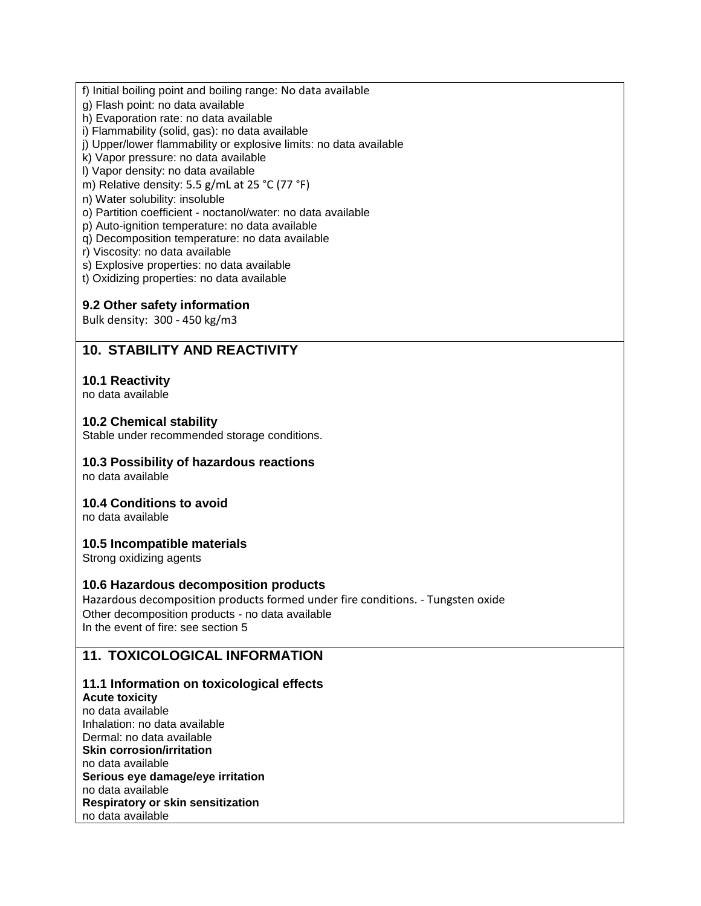- f) Initial boiling point and boiling range: No data available
- g) Flash point: no data available
- h) Evaporation rate: no data available
- i) Flammability (solid, gas): no data available
- j) Upper/lower flammability or explosive limits: no data available
- k) Vapor pressure: no data available
- l) Vapor density: no data available
- m) Relative density: 5.5 g/mL at 25 °C (77 °F)
- n) Water solubility: insoluble
- o) Partition coefficient noctanol/water: no data available
- p) Auto-ignition temperature: no data available
- q) Decomposition temperature: no data available
- r) Viscosity: no data available
- s) Explosive properties: no data available
- t) Oxidizing properties: no data available

#### **9.2 Other safety information**

Bulk density: 300 - 450 kg/m3

# **10. STABILITY AND REACTIVITY**

#### **10.1 Reactivity**

no data available

#### **10.2 Chemical stability**

Stable under recommended storage conditions.

#### **10.3 Possibility of hazardous reactions**

no data available

#### **10.4 Conditions to avoid**

no data available

### **10.5 Incompatible materials**

Strong oxidizing agents

#### **10.6 Hazardous decomposition products**

Hazardous decomposition products formed under fire conditions. - Tungsten oxide Other decomposition products - no data available In the event of fire: see section 5

# **11. TOXICOLOGICAL INFORMATION**

#### **11.1 Information on toxicological effects**

**Acute toxicity** no data available Inhalation: no data available Dermal: no data available **Skin corrosion/irritation** no data available **Serious eye damage/eye irritation** no data available **Respiratory or skin sensitization** no data available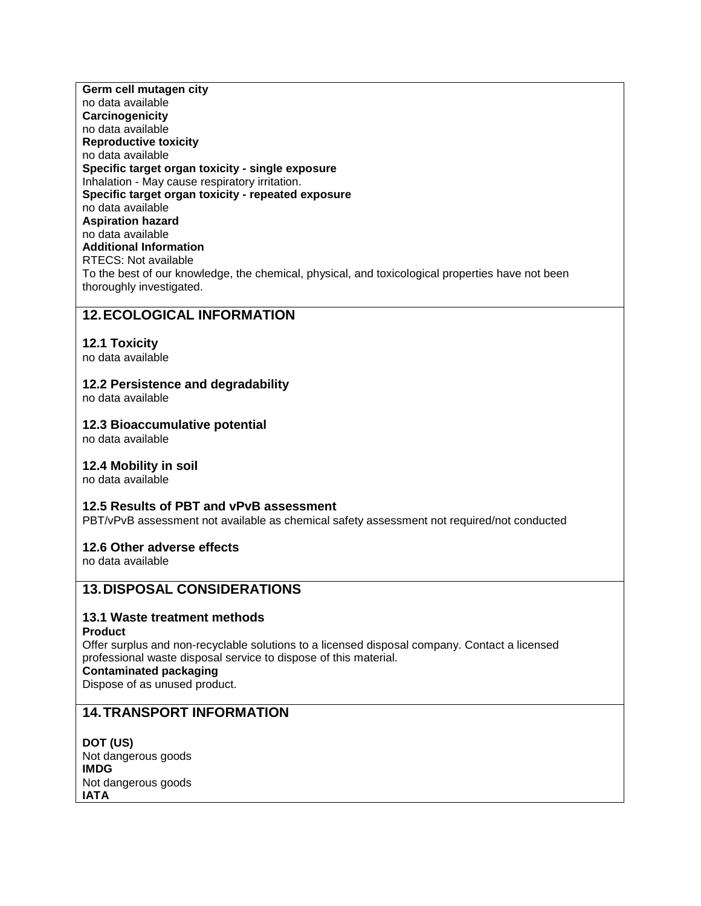**Germ cell mutagen city** no data available **Carcinogenicity** no data available **Reproductive toxicity** no data available **Specific target organ toxicity - single exposure** Inhalation - May cause respiratory irritation. **Specific target organ toxicity - repeated exposure** no data available **Aspiration hazard** no data available **Additional Information** RTECS: Not available To the best of our knowledge, the chemical, physical, and toxicological properties have not been thoroughly investigated.

# **12.ECOLOGICAL INFORMATION**

#### **12.1 Toxicity**

no data available

#### **12.2 Persistence and degradability**

no data available

#### **12.3 Bioaccumulative potential**

no data available

#### **12.4 Mobility in soil**

no data available

#### **12.5 Results of PBT and vPvB assessment**

PBT/vPvB assessment not available as chemical safety assessment not required/not conducted

#### **12.6 Other adverse effects**

no data available

### **13.DISPOSAL CONSIDERATIONS**

### **13.1 Waste treatment methods**

#### **Product**

Offer surplus and non-recyclable solutions to a licensed disposal company. Contact a licensed professional waste disposal service to dispose of this material.

#### **Contaminated packaging**

Dispose of as unused product.

# **14.TRANSPORT INFORMATION**

**DOT (US)** Not dangerous goods **IMDG** Not dangerous goods **IATA**